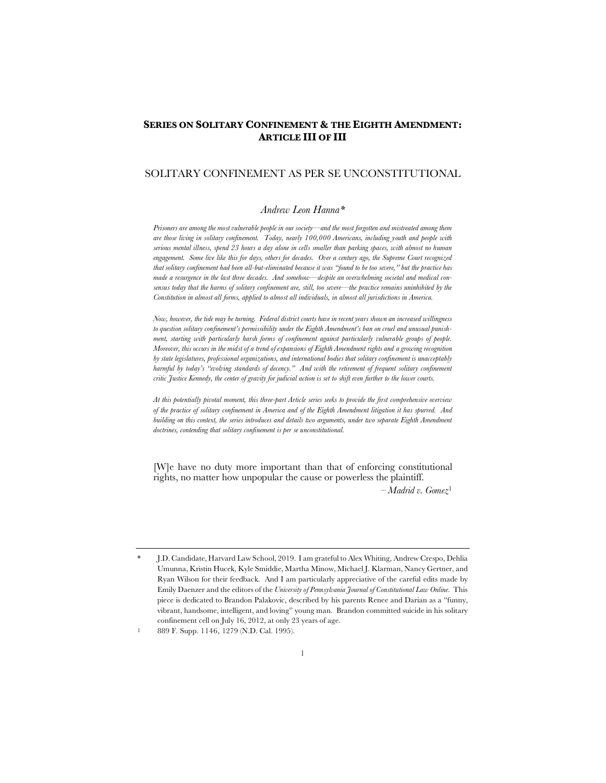# **SERIES ON SOLITARY CONFINEMENT & THE EIGHTH AMENDMENT: ARTICLE III OF III**

# SOLITARY CONFINEMENT AS PER SE UNCONSTITUTIONAL

## *Andrew Leon Hanna\**

*Prisoners are among the most vulnerable people in our society—and the most forgotten and mistreated among them are those living in solitary confinement. Today, nearly 100,000 Americans, including youth and people with serious mental illness, spend 23 hours a day alone in cells smaller than parking spaces, with almost no human engagement. Some live like this for days, others for decades. Over a century ago, the Supreme Court recognized that solitary confinement had been all-but-eliminated because it was "found to be too severe," but the practice has made a resurgence in the last three decades. And somehow—despite an overwhelming societal and medical consensus today that the harms of solitary confinement are, still, too severe—the practice remains uninhibited by the Constitution in almost all forms, applied to almost all individuals, in almost all jurisdictions in America.* 

*Now, however, the tide may be turning. Federal district courts have in recent years shown an increased willingness to question solitary confinement's permissibility under the Eighth Amendment's ban on cruel and unusual punishment, starting with particularly harsh forms of confinement against particularly vulnerable groups of people. Moreover, this occurs in the midst of a trend of expansions of Eighth Amendment rights and a growing recognition by state legislatures, professional organizations, and international bodies that solitary confinement is unacceptably harmful by today's "evolving standards of decency." And with the retirement of frequent solitary confinement critic Justice Kennedy, the center of gravity for judicial action is set to shift even further to the lower courts.*

*At this potentially pivotal moment, this three-part Article series seeks to provide the first comprehensive overview of the practice of solitary confinement in America and of the Eighth Amendment litigation it has spurred. And building on this context, the series introduces and details two arguments, under two separate Eighth Amendment doctrines, contending that solitary confinement is per se unconstitutional.*

[W]e have no duty more important than that of enforcing constitutional rights, no matter how unpopular the cause or powerless the plaintiff.

– *Madrid v. Gomez*<sup>1</sup>

<sup>\*</sup> J.D. Candidate, Harvard Law School, 2019. I am grateful to Alex Whiting, Andrew Crespo, Dehlia Umunna, Kristin Hucek, Kyle Smiddie, Martha Minow, Michael J. Klarman, Nancy Gertner, and Ryan Wilson for their feedback. And I am particularly appreciative of the careful edits made by Emily Daenzer and the editors of the *University of Pennsylvania Journal of Constitutional Law Online*. This piece is dedicated to Brandon Palakovic, described by his parents Renee and Darian as a "funny, vibrant, handsome, intelligent, and loving" young man. Brandon committed suicide in his solitary confinement cell on July 16, 2012, at only 23 years of age.

<sup>1</sup> 889 F. Supp. 1146, 1279 (N.D. Cal. 1995).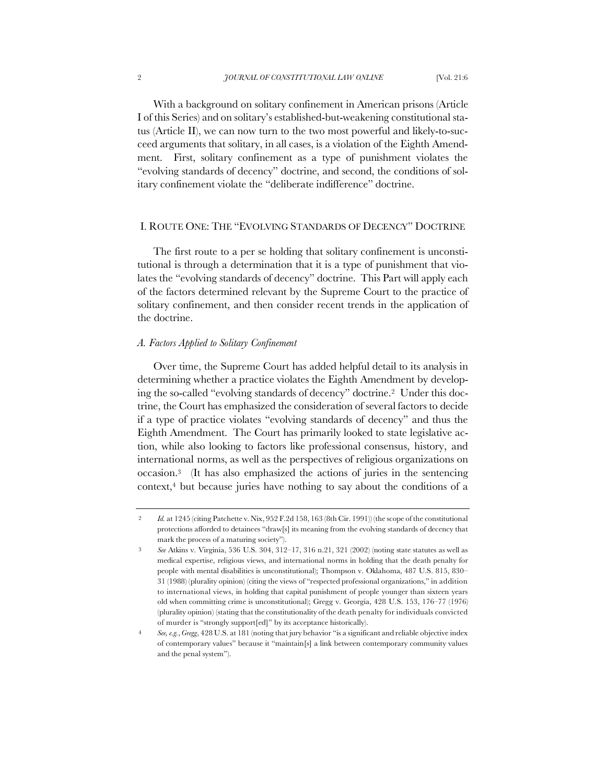With a background on solitary confinement in American prisons (Article I of this Series) and on solitary's established-but-weakening constitutional status (Article II), we can now turn to the two most powerful and likely-to-succeed arguments that solitary, in all cases, is a violation of the Eighth Amendment. First, solitary confinement as a type of punishment violates the "evolving standards of decency" doctrine, and second, the conditions of solitary confinement violate the "deliberate indifference" doctrine.

### I. ROUTE ONE: THE "EVOLVING STANDARDS OF DECENCY" DOCTRINE

The first route to a per se holding that solitary confinement is unconstitutional is through a determination that it is a type of punishment that violates the "evolving standards of decency" doctrine. This Part will apply each of the factors determined relevant by the Supreme Court to the practice of solitary confinement, and then consider recent trends in the application of the doctrine.

### *A. Factors Applied to Solitary Confinement*

Over time, the Supreme Court has added helpful detail to its analysis in determining whether a practice violates the Eighth Amendment by developing the so-called "evolving standards of decency" doctrine.2 Under this doctrine, the Court has emphasized the consideration of several factors to decide if a type of practice violates "evolving standards of decency" and thus the Eighth Amendment. The Court has primarily looked to state legislative action, while also looking to factors like professional consensus, history, and international norms, as well as the perspectives of religious organizations on occasion.3 (It has also emphasized the actions of juries in the sentencing context,4 but because juries have nothing to say about the conditions of a

<sup>2</sup> *Id.* at 1245 (citing Patchette v. Nix, 952 F.2d 158, 163 (8th Cir. 1991)) (the scope of the constitutional protections afforded to detainees "draw[s] its meaning from the evolving standards of decency that mark the process of a maturing society").

<sup>3</sup> *See* Atkins v. Virginia, 536 U.S. 304, 312–17, 316 n.21, 321 (2002) (noting state statutes as well as medical expertise, religious views, and international norms in holding that the death penalty for people with mental disabilities is unconstitutional); Thompson v. Oklahoma, 487 U.S. 815, 830– 31 (1988) (plurality opinion) (citing the views of "respected professional organizations," in addition to international views, in holding that capital punishment of people younger than sixteen years old when committing crime is unconstitutional); Gregg v. Georgia, 428 U.S. 153, 176–77 (1976) (plurality opinion) (stating that the constitutionality of the death penalty for individuals convicted of murder is "strongly support[ed]" by its acceptance historically).

<sup>4</sup> *See, e.g.*, *Gregg*, 428 U.S. at 181 (noting that jury behavior "is a significant and reliable objective index of contemporary values" because it "maintain[s] a link between contemporary community values and the penal system").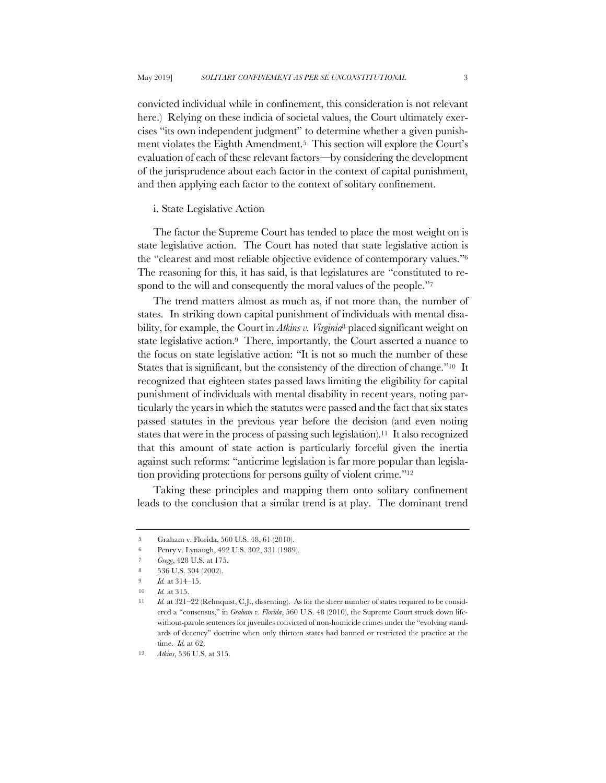convicted individual while in confinement, this consideration is not relevant here.) Relying on these indicia of societal values, the Court ultimately exercises "its own independent judgment" to determine whether a given punishment violates the Eighth Amendment.5 This section will explore the Court's evaluation of each of these relevant factors—by considering the development of the jurisprudence about each factor in the context of capital punishment, and then applying each factor to the context of solitary confinement.

### i. State Legislative Action

The factor the Supreme Court has tended to place the most weight on is state legislative action. The Court has noted that state legislative action is the "clearest and most reliable objective evidence of contemporary values."6 The reasoning for this, it has said, is that legislatures are "constituted to respond to the will and consequently the moral values of the people."<sup>7</sup>

The trend matters almost as much as, if not more than, the number of states. In striking down capital punishment of individuals with mental disability, for example, the Court in *Atkins v. Virginia*<sup>8</sup> placed significant weight on state legislative action.<sup>9</sup> There, importantly, the Court asserted a nuance to the focus on state legislative action: "It is not so much the number of these States that is significant, but the consistency of the direction of change."10 It recognized that eighteen states passed laws limiting the eligibility for capital punishment of individuals with mental disability in recent years, noting particularly the years in which the statutes were passed and the fact that six states passed statutes in the previous year before the decision (and even noting states that were in the process of passing such legislation).11 It also recognized that this amount of state action is particularly forceful given the inertia against such reforms: "anticrime legislation is far more popular than legislation providing protections for persons guilty of violent crime."12

Taking these principles and mapping them onto solitary confinement leads to the conclusion that a similar trend is at play. The dominant trend

<sup>5</sup> Graham v. Florida, 560 U.S. 48, 61 (2010).

<sup>6</sup> Penry v. Lynaugh, 492 U.S. 302, 331 (1989).

<sup>7</sup> *Gregg*, 428 U.S. at 175.

<sup>8</sup> 536 U.S. 304 (2002).

<sup>9</sup> *Id.* at 314–15.

<sup>10</sup> *Id.* at 315.

<sup>11</sup> *Id.* at 321–22 (Rehnquist, C.J., dissenting). As for the sheer number of states required to be considered a "consensus," in *Graham v. Florida*, 560 U.S. 48 (2010), the Supreme Court struck down lifewithout-parole sentences for juveniles convicted of non-homicide crimes under the "evolving standards of decency" doctrine when only thirteen states had banned or restricted the practice at the time. *Id.* at 62.

<sup>12</sup> *Atkins*, 536 U.S. at 315.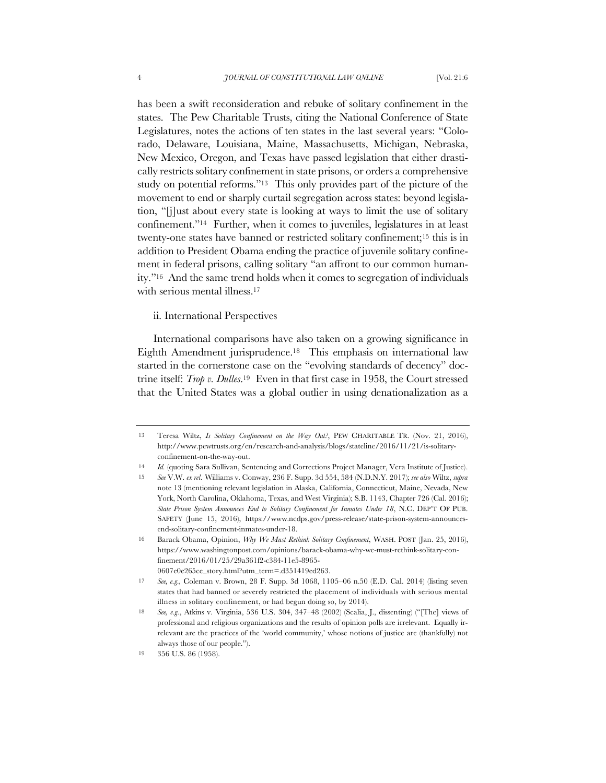has been a swift reconsideration and rebuke of solitary confinement in the states. The Pew Charitable Trusts, citing the National Conference of State Legislatures, notes the actions of ten states in the last several years: "Colorado, Delaware, Louisiana, Maine, Massachusetts, Michigan, Nebraska, New Mexico, Oregon, and Texas have passed legislation that either drastically restricts solitary confinement in state prisons, or orders a comprehensive study on potential reforms."13 This only provides part of the picture of the movement to end or sharply curtail segregation across states: beyond legislation, "[j]ust about every state is looking at ways to limit the use of solitary confinement."14 Further, when it comes to juveniles, legislatures in at least twenty-one states have banned or restricted solitary confinement;15 this is in addition to President Obama ending the practice of juvenile solitary confinement in federal prisons, calling solitary "an affront to our common humanity."16 And the same trend holds when it comes to segregation of individuals with serious mental illness.17

ii. International Perspectives

International comparisons have also taken on a growing significance in Eighth Amendment jurisprudence.18 This emphasis on international law started in the cornerstone case on the "evolving standards of decency" doctrine itself: *Trop v. Dulles*.19 Even in that first case in 1958, the Court stressed that the United States was a global outlier in using denationalization as a

<sup>13</sup> Teresa Wiltz, *Is Solitary Confinement on the Way Out?*, PEW CHARITABLE TR. (Nov. 21, 2016), http://www.pewtrusts.org/en/research-and-analysis/blogs/stateline/2016/11/21/is-solitaryconfinement-on-the-way-out.

<sup>14</sup> *Id.* (quoting Sara Sullivan, Sentencing and Corrections Project Manager, Vera Institute of Justice).

<sup>15</sup> *See* V.W. *ex rel*. Williams v. Conway, 236 F. Supp. 3d 554, 584 (N.D.N.Y. 2017); *see also* Wiltz, *supra* note 13 (mentioning relevant legislation in Alaska, California, Connecticut, Maine, Nevada, New York, North Carolina, Oklahoma, Texas, and West Virginia); S.B. 1143, Chapter 726 (Cal. 2016); *State Prison System Announces End to Solitary Confinement for Inmates Under 18*, N.C. DEP'T OF PUB. SAFETY (June 15, 2016), https://www.ncdps.gov/press-release/state-prison-system-announcesend-solitary-confinement-inmates-under-18.

<sup>16</sup> Barack Obama, Opinion, *Why We Must Rethink Solitary Confinement*, WASH. POST (Jan. 25, 2016), https://www.washingtonpost.com/opinions/barack-obama-why-we-must-rethink-solitary-confinement/2016/01/25/29a361f2-c384-11e5-8965- 0607e0e265ce\_story.html?utm\_term=.d351419ed263.

<sup>17</sup> *See, e.g.,* Coleman v. Brown, 28 F. Supp. 3d 1068, 1105–06 n.50 (E.D. Cal. 2014) (listing seven states that had banned or severely restricted the placement of individuals with serious mental illness in solitary confinement, or had begun doing so, by 2014).

<sup>18</sup> *See, e.g.*, Atkins v. Virginia, 536 U.S. 304, 347–48 (2002) (Scalia, J., dissenting) ("[The] views of professional and religious organizations and the results of opinion polls are irrelevant. Equally irrelevant are the practices of the 'world community,' whose notions of justice are (thankfully) not always those of our people.").

<sup>19</sup> 356 U.S. 86 (1958).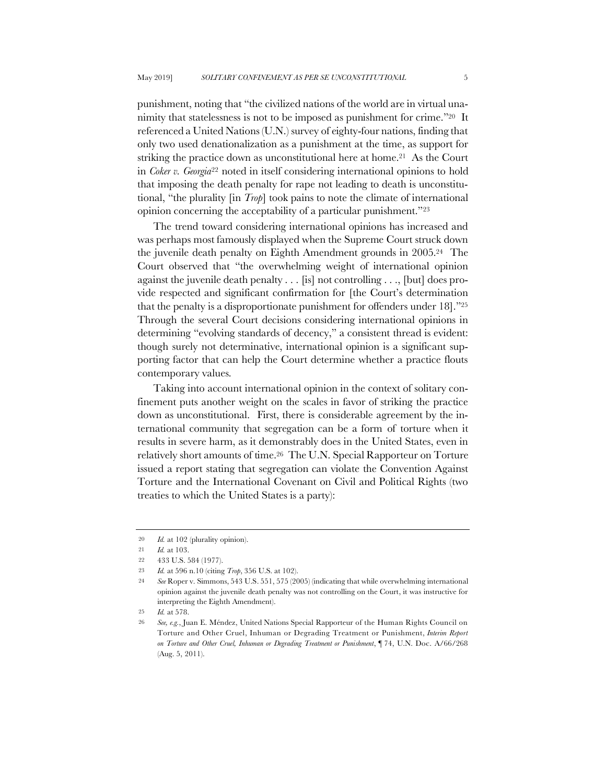punishment, noting that "the civilized nations of the world are in virtual unanimity that statelessness is not to be imposed as punishment for crime."20 It referenced a United Nations (U.N.) survey of eighty-four nations, finding that only two used denationalization as a punishment at the time, as support for striking the practice down as unconstitutional here at home.<sup>21</sup> As the Court in *Coker v. Georgia*<sup>22</sup> noted in itself considering international opinions to hold that imposing the death penalty for rape not leading to death is unconstitutional, "the plurality [in *Trop*] took pains to note the climate of international opinion concerning the acceptability of a particular punishment."23

The trend toward considering international opinions has increased and was perhaps most famously displayed when the Supreme Court struck down the juvenile death penalty on Eighth Amendment grounds in 2005.24 The Court observed that "the overwhelming weight of international opinion against the juvenile death penalty . . . [is] not controlling . . ., [but] does provide respected and significant confirmation for [the Court's determination that the penalty is a disproportionate punishment for offenders under 18]."25 Through the several Court decisions considering international opinions in determining "evolving standards of decency," a consistent thread is evident: though surely not determinative, international opinion is a significant supporting factor that can help the Court determine whether a practice flouts contemporary values.

Taking into account international opinion in the context of solitary confinement puts another weight on the scales in favor of striking the practice down as unconstitutional. First, there is considerable agreement by the international community that segregation can be a form of torture when it results in severe harm, as it demonstrably does in the United States, even in relatively short amounts of time.26 The U.N. Special Rapporteur on Torture issued a report stating that segregation can violate the Convention Against Torture and the International Covenant on Civil and Political Rights (two treaties to which the United States is a party):

<sup>20</sup> *Id.* at 102 (plurality opinion).

<sup>21</sup> *Id.* at 103.

<sup>22</sup> 433 U.S. 584 (1977).

<sup>23</sup> *Id.* at 596 n.10 (citing *Trop*, 356 U.S. at 102).

<sup>24</sup> *See* Roper v. Simmons, 543 U.S. 551, 575 (2005) (indicating that while overwhelming international opinion against the juvenile death penalty was not controlling on the Court, it was instructive for interpreting the Eighth Amendment).

<sup>25</sup> *Id.* at 578.

<sup>26</sup> *See, e.g.*, Juan E. Méndez, United Nations Special Rapporteur of the Human Rights Council on Torture and Other Cruel, Inhuman or Degrading Treatment or Punishment, *Interim Report on Torture and Other Cruel, Inhuman or Degrading Treatment or Punishment*, ¶ 74, U.N. Doc. A/66/268 (Aug. 5, 2011).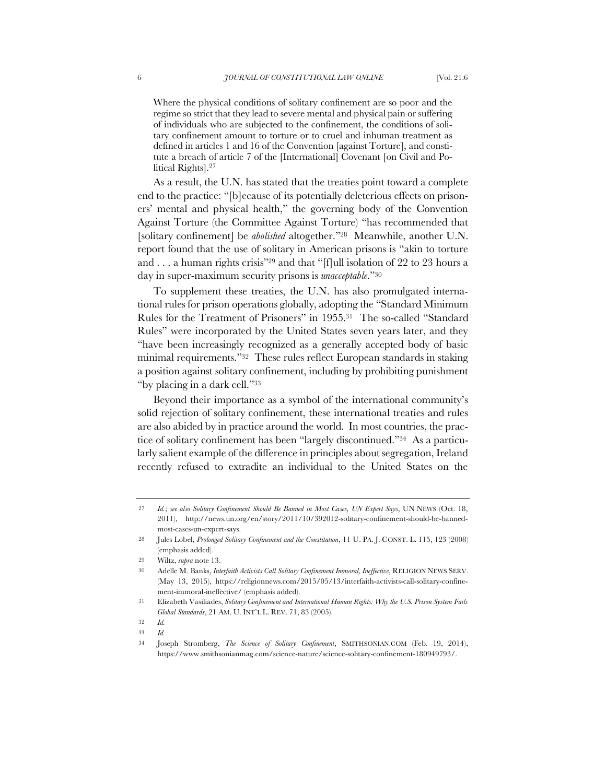Where the physical conditions of solitary confinement are so poor and the regime so strict that they lead to severe mental and physical pain or suffering of individuals who are subjected to the confinement, the conditions of solitary confinement amount to torture or to cruel and inhuman treatment as defined in articles 1 and 16 of the Convention [against Torture], and constitute a breach of article 7 of the [International] Covenant [on Civil and Political Rights].27

As a result, the U.N. has stated that the treaties point toward a complete end to the practice: "[b]ecause of its potentially deleterious effects on prisoners' mental and physical health," the governing body of the Convention Against Torture (the Committee Against Torture) "has recommended that [solitary confinement] be *abolished* altogether."28 Meanwhile, another U.N. report found that the use of solitary in American prisons is "akin to torture and . . . a human rights crisis"29 and that "[f]ull isolation of 22 to 23 hours a day in super-maximum security prisons is *unacceptable*."30

To supplement these treaties, the U.N. has also promulgated international rules for prison operations globally, adopting the "Standard Minimum Rules for the Treatment of Prisoners" in 1955.31 The so-called "Standard Rules" were incorporated by the United States seven years later, and they "have been increasingly recognized as a generally accepted body of basic minimal requirements."32 These rules reflect European standards in staking a position against solitary confinement, including by prohibiting punishment "by placing in a dark cell."33

Beyond their importance as a symbol of the international community's solid rejection of solitary confinement, these international treaties and rules are also abided by in practice around the world. In most countries, the practice of solitary confinement has been "largely discontinued."34 As a particularly salient example of the difference in principles about segregation, Ireland recently refused to extradite an individual to the United States on the

<sup>27</sup> *Id.*; *see also Solitary Confinement Should Be Banned in Most Cases, UN Expert Says*, UN NEWS (Oct. 18, 2011), http://news.un.org/en/story/2011/10/392012-solitary-confinement-should-be-bannedmost-cases-un-expert-says.

<sup>28</sup> Jules Lobel, *Prolonged Solitary Confinement and the Constitution*, 11 U. PA. J. CONST. L. 115, 123 (2008) (emphasis added).

<sup>29</sup> Wiltz, *supra* note 13.

<sup>30</sup> Adelle M. Banks, *Interfaith Activists Call Solitary Confinement Immoral, Ineffective*, RELIGION NEWS SERV. (May 13, 2015), https://religionnews.com/2015/05/13/interfaith-activists-call-solitary-confinement-immoral-ineffective/ (emphasis added).

<sup>31</sup> Elizabeth Vasiliades, *Solitary Confinement and International Human Rights: Why the U.S. Prison System Fails Global Standards*, 21 AM. U. INT'L L. REV. 71, 83 (2005).

<sup>32</sup> *Id.*

<sup>33</sup> *Id.*

<sup>34</sup> Joseph Stromberg, *The Science of Solitary Confinement*, SMITHSONIAN.COM (Feb. 19, 2014), https://www.smithsonianmag.com/science-nature/science-solitary-confinement-180949793/.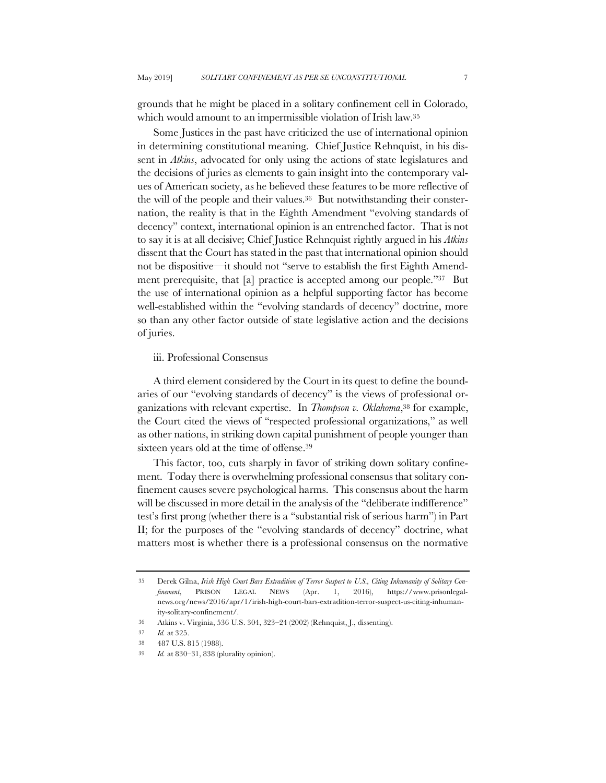grounds that he might be placed in a solitary confinement cell in Colorado, which would amount to an impermissible violation of Irish law.<sup>35</sup>

Some Justices in the past have criticized the use of international opinion in determining constitutional meaning. Chief Justice Rehnquist, in his dissent in *Atkins*, advocated for only using the actions of state legislatures and the decisions of juries as elements to gain insight into the contemporary values of American society, as he believed these features to be more reflective of the will of the people and their values.36 But notwithstanding their consternation, the reality is that in the Eighth Amendment "evolving standards of decency" context, international opinion is an entrenched factor. That is not to say it is at all decisive; Chief Justice Rehnquist rightly argued in his *Atkins* dissent that the Court has stated in the past that international opinion should not be dispositive—it should not "serve to establish the first Eighth Amendment prerequisite, that [a] practice is accepted among our people."37 But the use of international opinion as a helpful supporting factor has become well-established within the "evolving standards of decency" doctrine, more so than any other factor outside of state legislative action and the decisions of juries.

# iii. Professional Consensus

A third element considered by the Court in its quest to define the boundaries of our "evolving standards of decency" is the views of professional organizations with relevant expertise. In *Thompson v. Oklahoma*,38 for example, the Court cited the views of "respected professional organizations," as well as other nations, in striking down capital punishment of people younger than sixteen years old at the time of offense.<sup>39</sup>

This factor, too, cuts sharply in favor of striking down solitary confinement. Today there is overwhelming professional consensus that solitary confinement causes severe psychological harms. This consensus about the harm will be discussed in more detail in the analysis of the "deliberate indifference" test's first prong (whether there is a "substantial risk of serious harm") in Part II; for the purposes of the "evolving standards of decency" doctrine, what matters most is whether there is a professional consensus on the normative

<sup>35</sup> Derek Gilna, *Irish High Court Bars Extradition of Terror Suspect to U.S., Citing Inhumanity of Solitary Confinement*, PRISON LEGAL NEWS (Apr. 1, 2016), https://www.prisonlegalnews.org/news/2016/apr/1/irish-high-court-bars-extradition-terror-suspect-us-citing-inhumanity-solitary-confinement/.

<sup>36</sup> Atkins v. Virginia, 536 U.S. 304, 323–24 (2002) (Rehnquist, J., dissenting).

<sup>37</sup> *Id.* at 325.

<sup>38</sup> 487 U.S. 815 (1988).

<sup>39</sup> *Id.* at 830–31, 838 (plurality opinion).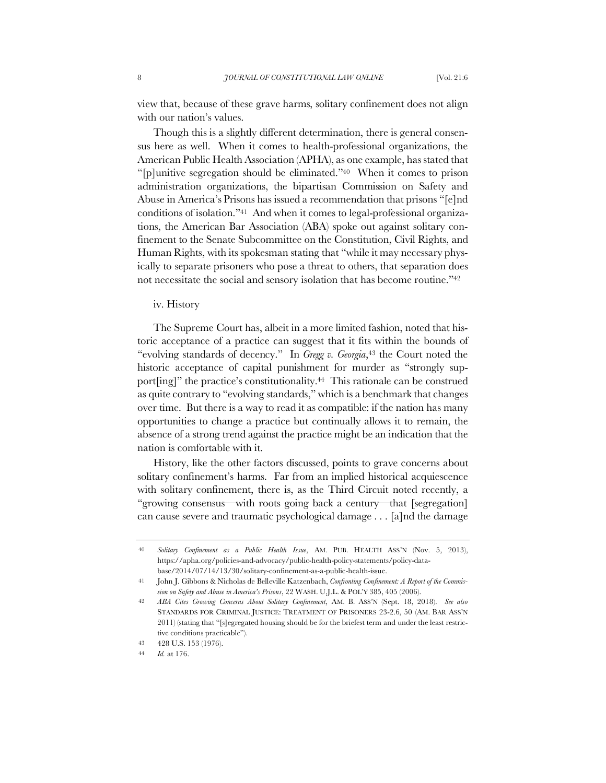view that, because of these grave harms, solitary confinement does not align with our nation's values.

Though this is a slightly different determination, there is general consensus here as well. When it comes to health-professional organizations, the American Public Health Association (APHA), as one example, has stated that "[p]unitive segregation should be eliminated."40 When it comes to prison administration organizations, the bipartisan Commission on Safety and Abuse in America's Prisons has issued a recommendation that prisons "[e]nd conditions of isolation."41 And when it comes to legal-professional organizations, the American Bar Association (ABA) spoke out against solitary confinement to the Senate Subcommittee on the Constitution, Civil Rights, and Human Rights, with its spokesman stating that "while it may necessary physically to separate prisoners who pose a threat to others, that separation does not necessitate the social and sensory isolation that has become routine."42

iv. History

The Supreme Court has, albeit in a more limited fashion, noted that historic acceptance of a practice can suggest that it fits within the bounds of "evolving standards of decency." In *Gregg v. Georgia*,43 the Court noted the historic acceptance of capital punishment for murder as "strongly support[ing]" the practice's constitutionality.<sup>44</sup> This rationale can be construed as quite contrary to "evolving standards," which is a benchmark that changes over time. But there is a way to read it as compatible: if the nation has many opportunities to change a practice but continually allows it to remain, the absence of a strong trend against the practice might be an indication that the nation is comfortable with it.

History, like the other factors discussed, points to grave concerns about solitary confinement's harms. Far from an implied historical acquiescence with solitary confinement, there is, as the Third Circuit noted recently, a "growing consensus—with roots going back a century—that [segregation] can cause severe and traumatic psychological damage . . . [a]nd the damage

<sup>40</sup> *Solitary Confinement as a Public Health Issue*, AM. PUB. HEALTH ASS'N (Nov. 5, 2013), https://apha.org/policies-and-advocacy/public-health-policy-statements/policy-database/2014/07/14/13/30/solitary-confinement-as-a-public-health-issue.

<sup>41</sup> John J. Gibbons & Nicholas de Belleville Katzenbach, *Confronting Confinement: A Report of the Commission on Safety and Abuse in America's Prisons*, 22 WASH. U.J.L. & POL'Y 385, 405 (2006).

<sup>42</sup> *ABA Cites Growing Concerns About Solitary Confinement*, AM. B. ASS'N (Sept. 18, 2018). *See also* STANDARDS FOR CRIMINAL JUSTICE: TREATMENT OF PRISONERS 23-2.6, 50 (AM. BAR ASS'N 2011) (stating that "[s]egregated housing should be for the briefest term and under the least restrictive conditions practicable").

<sup>43</sup> 428 U.S. 153 (1976).

<sup>44</sup> *Id.* at 176.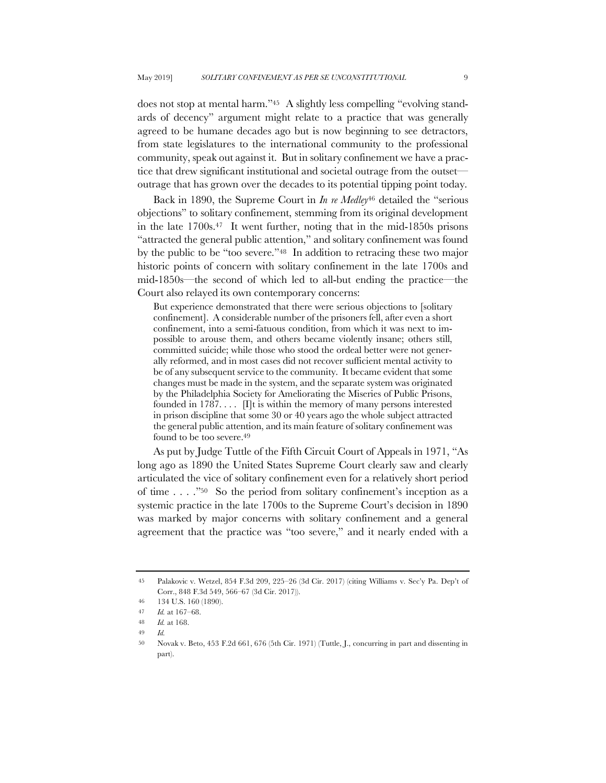does not stop at mental harm."45 A slightly less compelling "evolving standards of decency" argument might relate to a practice that was generally agreed to be humane decades ago but is now beginning to see detractors, from state legislatures to the international community to the professional community, speak out against it. But in solitary confinement we have a practice that drew significant institutional and societal outrage from the outset outrage that has grown over the decades to its potential tipping point today.

Back in 1890, the Supreme Court in *In re Medley*<sup>46</sup> detailed the "serious objections" to solitary confinement, stemming from its original development in the late 1700s.47 It went further, noting that in the mid-1850s prisons "attracted the general public attention," and solitary confinement was found by the public to be "too severe."48 In addition to retracing these two major historic points of concern with solitary confinement in the late 1700s and mid-1850s—the second of which led to all-but ending the practice—the Court also relayed its own contemporary concerns:

But experience demonstrated that there were serious objections to [solitary confinement]. A considerable number of the prisoners fell, after even a short confinement, into a semi-fatuous condition, from which it was next to impossible to arouse them, and others became violently insane; others still, committed suicide; while those who stood the ordeal better were not generally reformed, and in most cases did not recover sufficient mental activity to be of any subsequent service to the community. It became evident that some changes must be made in the system, and the separate system was originated by the Philadelphia Society for Ameliorating the Miseries of Public Prisons, founded in 1787...  $\Pi$  is within the memory of many persons interested in prison discipline that some 30 or 40 years ago the whole subject attracted the general public attention, and its main feature of solitary confinement was found to be too severe.<sup>49</sup>

As put by Judge Tuttle of the Fifth Circuit Court of Appeals in 1971, "As long ago as 1890 the United States Supreme Court clearly saw and clearly articulated the vice of solitary confinement even for a relatively short period of time . . . ."50 So the period from solitary confinement's inception as a systemic practice in the late 1700s to the Supreme Court's decision in 1890 was marked by major concerns with solitary confinement and a general agreement that the practice was "too severe," and it nearly ended with a

<sup>45</sup> Palakovic v. Wetzel, 854 F.3d 209, 225–26 (3d Cir. 2017) (citing Williams v. Sec'y Pa. Dep't of Corr., 848 F.3d 549, 566–67 (3d Cir. 2017)).

<sup>46</sup> 134 U.S. 160 (1890).

<sup>47</sup> *Id.* at 167–68.

<sup>48</sup> *Id.* at 168.

<sup>49</sup> *Id.*

<sup>50</sup> Novak v. Beto, 453 F.2d 661, 676 (5th Cir. 1971) (Tuttle, J., concurring in part and dissenting in part).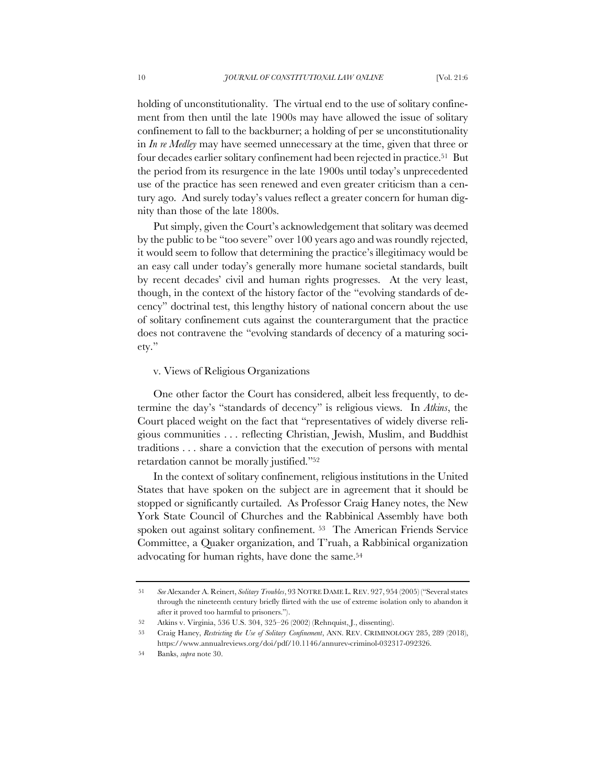holding of unconstitutionality. The virtual end to the use of solitary confinement from then until the late 1900s may have allowed the issue of solitary confinement to fall to the backburner; a holding of per se unconstitutionality in *In re Medley* may have seemed unnecessary at the time, given that three or four decades earlier solitary confinement had been rejected in practice.51 But the period from its resurgence in the late 1900s until today's unprecedented use of the practice has seen renewed and even greater criticism than a century ago. And surely today's values reflect a greater concern for human dignity than those of the late 1800s.

Put simply, given the Court's acknowledgement that solitary was deemed by the public to be "too severe" over 100 years ago and was roundly rejected, it would seem to follow that determining the practice's illegitimacy would be an easy call under today's generally more humane societal standards, built by recent decades' civil and human rights progresses. At the very least, though, in the context of the history factor of the "evolving standards of decency" doctrinal test, this lengthy history of national concern about the use of solitary confinement cuts against the counterargument that the practice does not contravene the "evolving standards of decency of a maturing society."

## v. Views of Religious Organizations

One other factor the Court has considered, albeit less frequently, to determine the day's "standards of decency" is religious views. In *Atkins*, the Court placed weight on the fact that "representatives of widely diverse religious communities . . . reflecting Christian, Jewish, Muslim, and Buddhist traditions . . . share a conviction that the execution of persons with mental retardation cannot be morally justified."52

In the context of solitary confinement, religious institutions in the United States that have spoken on the subject are in agreement that it should be stopped or significantly curtailed. As Professor Craig Haney notes, the New York State Council of Churches and the Rabbinical Assembly have both spoken out against solitary confinement. 53 The American Friends Service Committee, a Quaker organization, and T'ruah, a Rabbinical organization advocating for human rights, have done the same.54

<sup>51</sup> *See* Alexander A. Reinert, *Solitary Troubles*, 93 NOTRE DAME L. REV. 927, 954 (2005) ("Several states through the nineteenth century briefly flirted with the use of extreme isolation only to abandon it after it proved too harmful to prisoners.").

<sup>52</sup> Atkins v. Virginia, 536 U.S. 304, 325–26 (2002) (Rehnquist, J., dissenting).

<sup>53</sup> Craig Haney, *Restricting the Use of Solitary Confinement*, ANN. REV. CRIMINOLOGY 285, 289 (2018), https://www.annualreviews.org/doi/pdf/10.1146/annurev-criminol-032317-092326.

<sup>54</sup> Banks, *supra* note 30.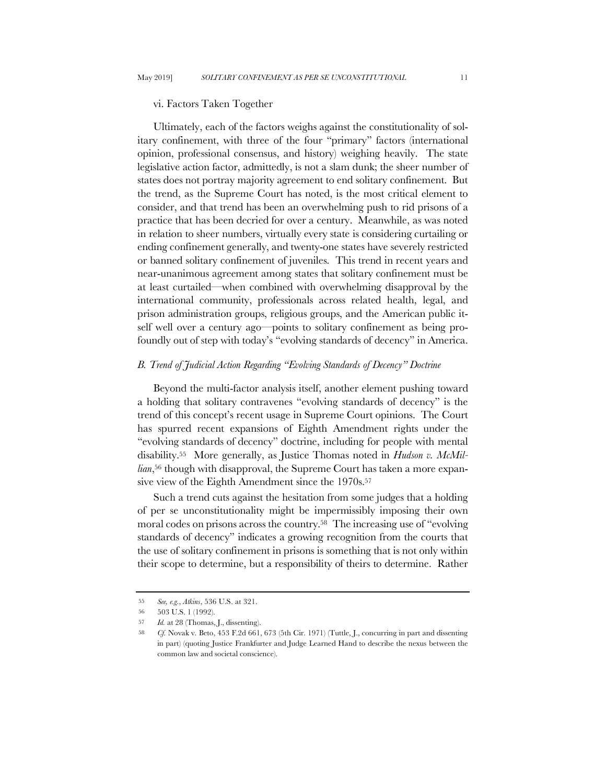#### vi. Factors Taken Together

Ultimately, each of the factors weighs against the constitutionality of solitary confinement, with three of the four "primary" factors (international opinion, professional consensus, and history) weighing heavily. The state legislative action factor, admittedly, is not a slam dunk; the sheer number of states does not portray majority agreement to end solitary confinement. But the trend, as the Supreme Court has noted, is the most critical element to consider, and that trend has been an overwhelming push to rid prisons of a practice that has been decried for over a century. Meanwhile, as was noted in relation to sheer numbers, virtually every state is considering curtailing or ending confinement generally, and twenty-one states have severely restricted or banned solitary confinement of juveniles. This trend in recent years and near-unanimous agreement among states that solitary confinement must be at least curtailed—when combined with overwhelming disapproval by the international community, professionals across related health, legal, and prison administration groups, religious groups, and the American public itself well over a century ago—points to solitary confinement as being profoundly out of step with today's "evolving standards of decency" in America.

# *B. Trend of Judicial Action Regarding "Evolving Standards of Decency" Doctrine*

Beyond the multi-factor analysis itself, another element pushing toward a holding that solitary contravenes "evolving standards of decency" is the trend of this concept's recent usage in Supreme Court opinions. The Court has spurred recent expansions of Eighth Amendment rights under the "evolving standards of decency" doctrine, including for people with mental disability.55 More generally, as Justice Thomas noted in *Hudson v. McMillian*,56 though with disapproval, the Supreme Court has taken a more expansive view of the Eighth Amendment since the 1970s.<sup>57</sup>

Such a trend cuts against the hesitation from some judges that a holding of per se unconstitutionality might be impermissibly imposing their own moral codes on prisons across the country.58 The increasing use of "evolving standards of decency" indicates a growing recognition from the courts that the use of solitary confinement in prisons is something that is not only within their scope to determine, but a responsibility of theirs to determine. Rather

<sup>55</sup> *See, e.g.*, *Atkins*, 536 U.S. at 321.

<sup>56</sup> 503 U.S. 1 (1992).

<sup>57</sup> *Id.* at 28 (Thomas, J., dissenting).

<sup>58</sup> *Cf.* Novak v. Beto, 453 F.2d 661, 673 (5th Cir. 1971) (Tuttle, J., concurring in part and dissenting in part) (quoting Justice Frankfurter and Judge Learned Hand to describe the nexus between the common law and societal conscience).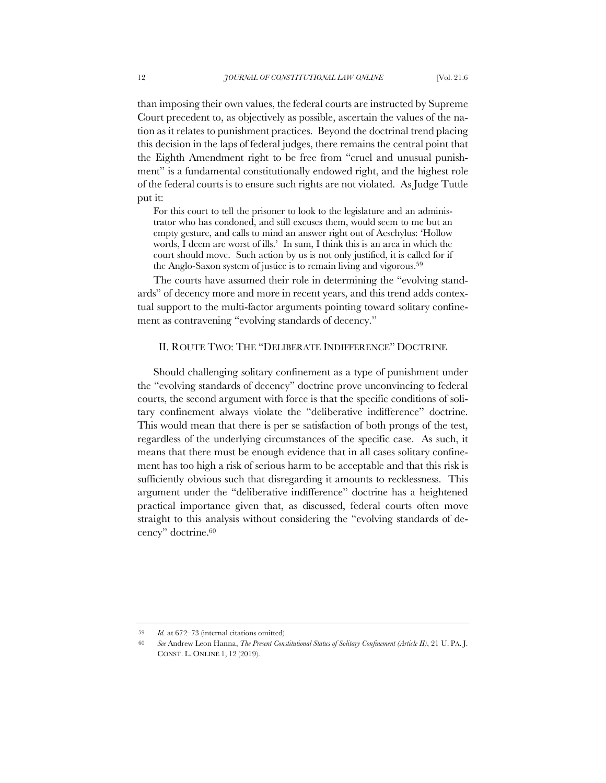than imposing their own values, the federal courts are instructed by Supreme Court precedent to, as objectively as possible, ascertain the values of the nation as it relates to punishment practices. Beyond the doctrinal trend placing this decision in the laps of federal judges, there remains the central point that the Eighth Amendment right to be free from "cruel and unusual punishment" is a fundamental constitutionally endowed right, and the highest role of the federal courts is to ensure such rights are not violated. As Judge Tuttle put it:

For this court to tell the prisoner to look to the legislature and an administrator who has condoned, and still excuses them, would seem to me but an empty gesture, and calls to mind an answer right out of Aeschylus: 'Hollow words, I deem are worst of ills.' In sum, I think this is an area in which the court should move. Such action by us is not only justified, it is called for if the Anglo-Saxon system of justice is to remain living and vigorous.59

The courts have assumed their role in determining the "evolving standards" of decency more and more in recent years, and this trend adds contextual support to the multi-factor arguments pointing toward solitary confinement as contravening "evolving standards of decency."

# II. ROUTE TWO: THE "DELIBERATE INDIFFERENCE" DOCTRINE

Should challenging solitary confinement as a type of punishment under the "evolving standards of decency" doctrine prove unconvincing to federal courts, the second argument with force is that the specific conditions of solitary confinement always violate the "deliberative indifference" doctrine. This would mean that there is per se satisfaction of both prongs of the test, regardless of the underlying circumstances of the specific case. As such, it means that there must be enough evidence that in all cases solitary confinement has too high a risk of serious harm to be acceptable and that this risk is sufficiently obvious such that disregarding it amounts to recklessness. This argument under the "deliberative indifference" doctrine has a heightened practical importance given that, as discussed, federal courts often move straight to this analysis without considering the "evolving standards of decency" doctrine.60

<sup>59</sup> *Id.* at 672–73 (internal citations omitted)*.*

<sup>60</sup> *See* Andrew Leon Hanna, *The Present Constitutional Status of Solitary Confinement (Article II)*, 21 U. PA. J. CONST. L. ONLINE 1, 12 (2019).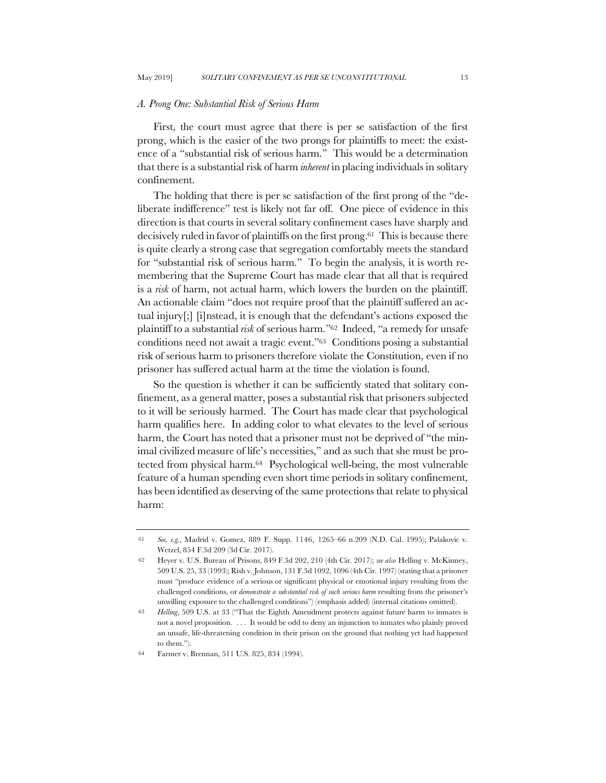### *A. Prong One: Substantial Risk of Serious Harm*

First, the court must agree that there is per se satisfaction of the first prong, which is the easier of the two prongs for plaintiffs to meet: the existence of a "substantial risk of serious harm." This would be a determination that there is a substantial risk of harm *inherent* in placing individuals in solitary confinement.

The holding that there is per se satisfaction of the first prong of the "deliberate indifference" test is likely not far off. One piece of evidence in this direction is that courts in several solitary confinement cases have sharply and decisively ruled in favor of plaintiffs on the first prong.61 This is because there is quite clearly a strong case that segregation comfortably meets the standard for "substantial risk of serious harm." To begin the analysis, it is worth remembering that the Supreme Court has made clear that all that is required is a *risk* of harm, not actual harm, which lowers the burden on the plaintiff. An actionable claim "does not require proof that the plaintiff suffered an actual injury[;] [i]nstead, it is enough that the defendant's actions exposed the plaintiff to a substantial *risk* of serious harm."62 Indeed, "a remedy for unsafe conditions need not await a tragic event."63 Conditions posing a substantial risk of serious harm to prisoners therefore violate the Constitution, even if no prisoner has suffered actual harm at the time the violation is found.

So the question is whether it can be sufficiently stated that solitary confinement, as a general matter, poses a substantial risk that prisoners subjected to it will be seriously harmed. The Court has made clear that psychological harm qualifies here. In adding color to what elevates to the level of serious harm, the Court has noted that a prisoner must not be deprived of "the minimal civilized measure of life's necessities," and as such that she must be protected from physical harm.64 Psychological well-being, the most vulnerable feature of a human spending even short time periods in solitary confinement, has been identified as deserving of the same protections that relate to physical harm:

<sup>61</sup> *See, e.g.*, Madrid v. Gomez, 889 F. Supp. 1146, 1265–66 n.209 (N.D. Cal. 1995); Palakovic v. Wetzel, 854 F.3d 209 (3d Cir. 2017).

<sup>62</sup> Heyer v. U.S. Bureau of Prisons, 849 F.3d 202, 210 (4th Cir. 2017); *see also* Helling v. McKinney, 509 U.S. 25, 33 (1993); Rish v. Johnson, 131 F.3d 1092, 1096 (4th Cir. 1997) (stating that a prisoner must "produce evidence of a serious or significant physical or emotional injury resulting from the challenged conditions, or *demonstrate a substantial risk of such serious harm* resulting from the prisoner's unwilling exposure to the challenged conditions") (emphasis added) (internal citations omitted).

<sup>63</sup> *Helling*, 509 U.S. at 33 ("That the Eighth Amendment protects against future harm to inmates is not a novel proposition. . . . It would be odd to deny an injunction to inmates who plainly proved an unsafe, life-threatening condition in their prison on the ground that nothing yet had happened to them.").

<sup>64</sup> Farmer v. Brennan, 511 U.S. 825, 834 (1994).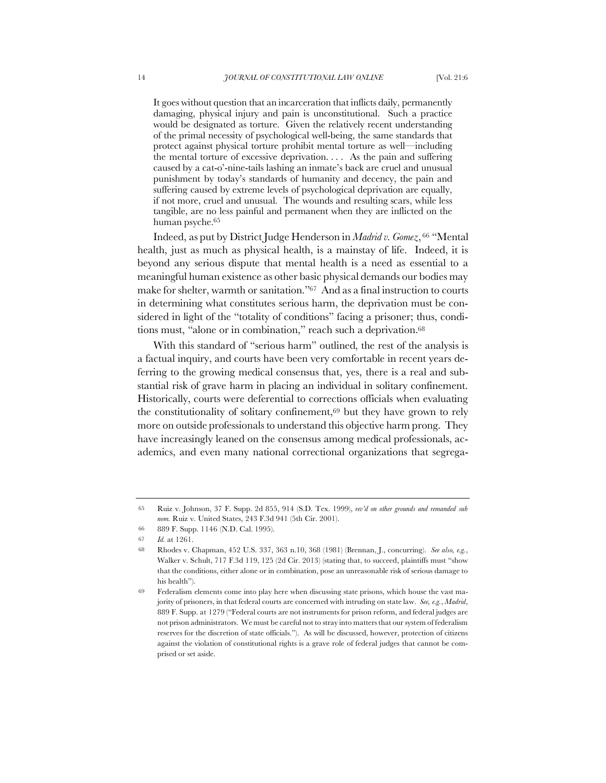It goes without question that an incarceration that inflicts daily, permanently damaging, physical injury and pain is unconstitutional. Such a practice would be designated as torture. Given the relatively recent understanding of the primal necessity of psychological well-being, the same standards that protect against physical torture prohibit mental torture as well—including the mental torture of excessive deprivation. . . . As the pain and suffering caused by a cat-o'-nine-tails lashing an inmate's back are cruel and unusual punishment by today's standards of humanity and decency, the pain and suffering caused by extreme levels of psychological deprivation are equally, if not more, cruel and unusual. The wounds and resulting scars, while less tangible, are no less painful and permanent when they are inflicted on the human psyche.65

Indeed, as put by District Judge Henderson in *Madrid v. Gomez*, <sup>66</sup> "Mental health, just as much as physical health, is a mainstay of life. Indeed, it is beyond any serious dispute that mental health is a need as essential to a meaningful human existence as other basic physical demands our bodies may make for shelter, warmth or sanitation."67 And as a final instruction to courts in determining what constitutes serious harm, the deprivation must be considered in light of the "totality of conditions" facing a prisoner; thus, conditions must, "alone or in combination," reach such a deprivation.<sup>68</sup>

With this standard of "serious harm" outlined, the rest of the analysis is a factual inquiry, and courts have been very comfortable in recent years deferring to the growing medical consensus that, yes, there is a real and substantial risk of grave harm in placing an individual in solitary confinement. Historically, courts were deferential to corrections officials when evaluating the constitutionality of solitary confinement,69 but they have grown to rely more on outside professionals to understand this objective harm prong. They have increasingly leaned on the consensus among medical professionals, academics, and even many national correctional organizations that segrega-

<sup>65</sup> Ruiz v. Johnson, 37 F. Supp. 2d 855, 914 (S.D. Tex. 1999), *rev'd on other grounds and remanded sub nom.* Ruiz v. United States, 243 F.3d 941 (5th Cir. 2001).

<sup>66</sup> 889 F. Supp. 1146 (N.D. Cal. 1995).

<sup>67</sup> *Id.* at 1261.

<sup>68</sup> Rhodes v. Chapman, 452 U.S. 337, 363 n.10, 368 (1981) (Brennan, J., concurring). *See also, e.g.*, Walker v. Schult, 717 F.3d 119, 125 (2d Cir. 2013) (stating that, to succeed, plaintiffs must "show that the conditions, either alone or in combination, pose an unreasonable risk of serious damage to his health").

<sup>69</sup> Federalism elements come into play here when discussing state prisons, which house the vast majority of prisoners, in that federal courts are concerned with intruding on state law. *See, e.g.*, *Madrid*, 889 F. Supp. at 1279 ("Federal courts are not instruments for prison reform, and federal judges are not prison administrators. We must be careful not to stray into matters that our system of federalism reserves for the discretion of state officials."). As will be discussed, however, protection of citizens against the violation of constitutional rights is a grave role of federal judges that cannot be comprised or set aside.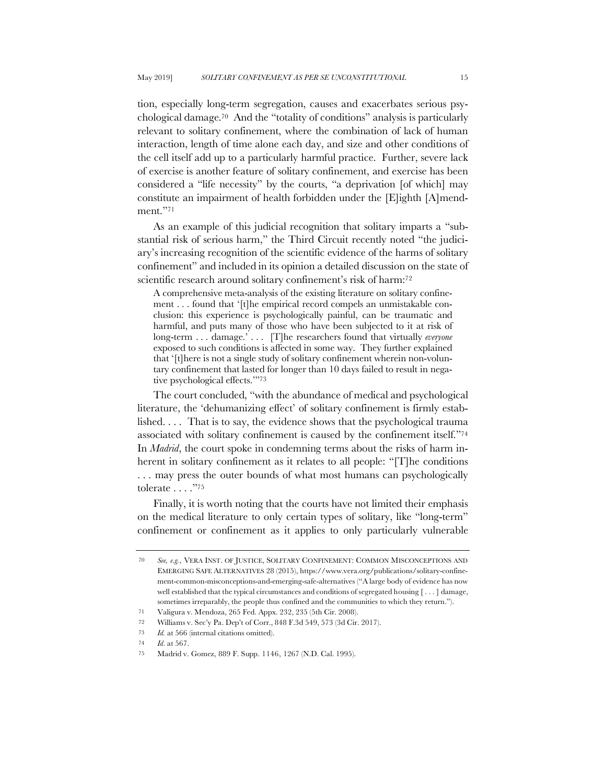tion, especially long-term segregation, causes and exacerbates serious psychological damage.70 And the "totality of conditions" analysis is particularly relevant to solitary confinement, where the combination of lack of human interaction, length of time alone each day, and size and other conditions of the cell itself add up to a particularly harmful practice. Further, severe lack of exercise is another feature of solitary confinement, and exercise has been considered a "life necessity" by the courts, "a deprivation [of which] may constitute an impairment of health forbidden under the [E]ighth [A]mendment."71

As an example of this judicial recognition that solitary imparts a "substantial risk of serious harm," the Third Circuit recently noted "the judiciary's increasing recognition of the scientific evidence of the harms of solitary confinement" and included in its opinion a detailed discussion on the state of scientific research around solitary confinement's risk of harm:<sup>72</sup>

A comprehensive meta-analysis of the existing literature on solitary confinement . . . found that '[t]he empirical record compels an unmistakable conclusion: this experience is psychologically painful, can be traumatic and harmful, and puts many of those who have been subjected to it at risk of long-term . . . damage.' . . . [T]he researchers found that virtually *everyone* exposed to such conditions is affected in some way. They further explained that '[t]here is not a single study of solitary confinement wherein non-voluntary confinement that lasted for longer than 10 days failed to result in negative psychological effects.'"73

The court concluded, "with the abundance of medical and psychological literature, the 'dehumanizing effect' of solitary confinement is firmly established. . . . That is to say, the evidence shows that the psychological trauma associated with solitary confinement is caused by the confinement itself."74 In *Madrid*, the court spoke in condemning terms about the risks of harm inherent in solitary confinement as it relates to all people: "[T]he conditions ... may press the outer bounds of what most humans can psychologically tolerate . . . ."75

Finally, it is worth noting that the courts have not limited their emphasis on the medical literature to only certain types of solitary, like "long-term" confinement or confinement as it applies to only particularly vulnerable

<sup>70</sup> *See, e.g.*, VERA INST. OF JUSTICE, SOLITARY CONFINEMENT: COMMON MISCONCEPTIONS AND EMERGING SAFE ALTERNATIVES 28 (2015), https://www.vera.org/publications/solitary-confinement-common-misconceptions-and-emerging-safe-alternatives ("A large body of evidence has now well established that the typical circumstances and conditions of segregated housing [ . . . ] damage, sometimes irreparably, the people thus confined and the communities to which they return.").

<sup>71</sup> Valigura v. Mendoza, 265 Fed. Appx. 232, 235 (5th Cir. 2008).

<sup>72</sup> Williams v. Sec'y Pa. Dep't of Corr., 848 F.3d 549, 573 (3d Cir. 2017).

<sup>73</sup> *Id.* at 566 (internal citations omitted).

<sup>74</sup> *Id*. at 567.

<sup>75</sup> Madrid v. Gomez, 889 F. Supp. 1146, 1267 (N.D. Cal. 1995).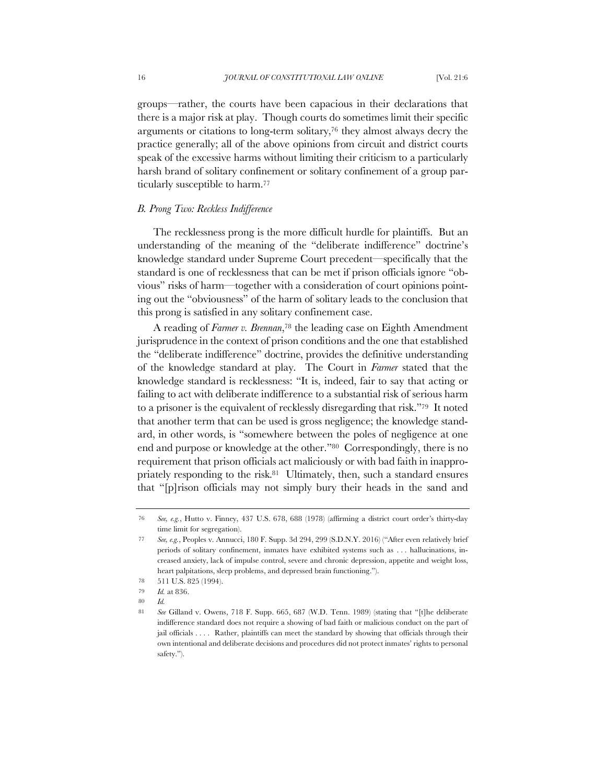groups—rather, the courts have been capacious in their declarations that there is a major risk at play. Though courts do sometimes limit their specific arguments or citations to long-term solitary,76 they almost always decry the practice generally; all of the above opinions from circuit and district courts speak of the excessive harms without limiting their criticism to a particularly harsh brand of solitary confinement or solitary confinement of a group particularly susceptible to harm.77

## *B. Prong Two: Reckless Indifference*

The recklessness prong is the more difficult hurdle for plaintiffs. But an understanding of the meaning of the "deliberate indifference" doctrine's knowledge standard under Supreme Court precedent—specifically that the standard is one of recklessness that can be met if prison officials ignore "obvious" risks of harm—together with a consideration of court opinions pointing out the "obviousness" of the harm of solitary leads to the conclusion that this prong is satisfied in any solitary confinement case.

A reading of *Farmer v. Brennan*,78 the leading case on Eighth Amendment jurisprudence in the context of prison conditions and the one that established the "deliberate indifference" doctrine, provides the definitive understanding of the knowledge standard at play. The Court in *Farmer* stated that the knowledge standard is recklessness: "It is, indeed, fair to say that acting or failing to act with deliberate indifference to a substantial risk of serious harm to a prisoner is the equivalent of recklessly disregarding that risk."79 It noted that another term that can be used is gross negligence; the knowledge standard, in other words, is "somewhere between the poles of negligence at one end and purpose or knowledge at the other."80 Correspondingly, there is no requirement that prison officials act maliciously or with bad faith in inappropriately responding to the risk.<sup>81</sup> Ultimately, then, such a standard ensures that "[p]rison officials may not simply bury their heads in the sand and

80 *Id.*

<sup>76</sup> *See, e.g.*, Hutto v. Finney, 437 U.S. 678, 688 (1978) (affirming a district court order's thirty-day time limit for segregation).

<sup>77</sup> *See, e.g.*, Peoples v. Annucci, 180 F. Supp. 3d 294, 299 (S.D.N.Y. 2016) ("After even relatively brief periods of solitary confinement, inmates have exhibited systems such as . . . hallucinations, increased anxiety, lack of impulse control, severe and chronic depression, appetite and weight loss, heart palpitations, sleep problems, and depressed brain functioning.").

<sup>78</sup> 511 U.S. 825 (1994).

<sup>79</sup> *Id.* at 836.

<sup>81</sup> *See* Gilland v. Owens, 718 F. Supp. 665, 687 (W.D. Tenn. 1989) (stating that "[t]he deliberate indifference standard does not require a showing of bad faith or malicious conduct on the part of jail officials . . . . Rather, plaintiffs can meet the standard by showing that officials through their own intentional and deliberate decisions and procedures did not protect inmates' rights to personal safety.").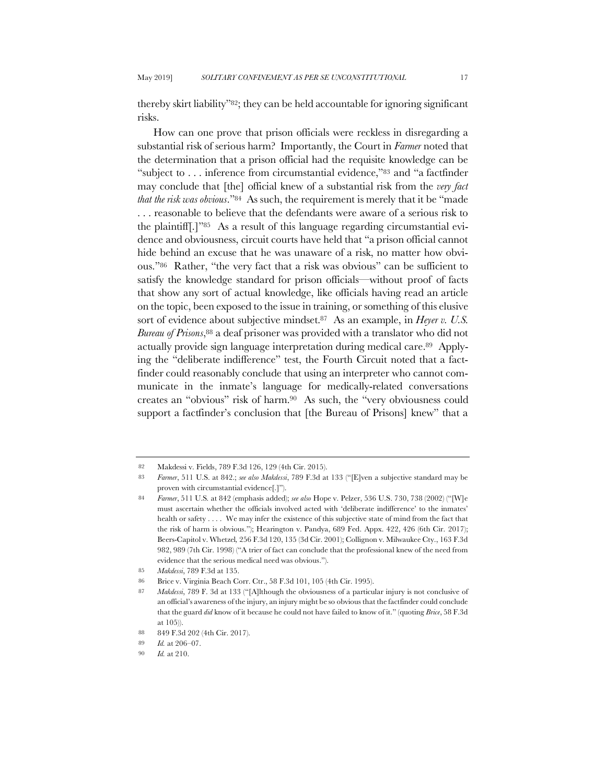thereby skirt liability"82; they can be held accountable for ignoring significant risks.

How can one prove that prison officials were reckless in disregarding a substantial risk of serious harm? Importantly, the Court in *Farmer* noted that the determination that a prison official had the requisite knowledge can be "subject to . . . inference from circumstantial evidence,"83 and "a factfinder may conclude that [the] official knew of a substantial risk from the *very fact that the risk was obvious*."84 As such, the requirement is merely that it be "made . . . reasonable to believe that the defendants were aware of a serious risk to the plaintiff[.]"85 As a result of this language regarding circumstantial evidence and obviousness, circuit courts have held that "a prison official cannot hide behind an excuse that he was unaware of a risk, no matter how obvious."86 Rather, "the very fact that a risk was obvious" can be sufficient to satisfy the knowledge standard for prison officials—without proof of facts that show any sort of actual knowledge, like officials having read an article on the topic, been exposed to the issue in training, or something of this elusive sort of evidence about subjective mindset.<sup>87</sup> As an example, in *Heyer v. U.S. Bureau of Prisons*,88 a deaf prisoner was provided with a translator who did not actually provide sign language interpretation during medical care.89 Applying the "deliberate indifference" test, the Fourth Circuit noted that a factfinder could reasonably conclude that using an interpreter who cannot communicate in the inmate's language for medically-related conversations creates an "obvious" risk of harm.90 As such, the "very obviousness could support a factfinder's conclusion that [the Bureau of Prisons] knew" that a

<sup>82</sup> Makdessi v. Fields, 789 F.3d 126, 129 (4th Cir. 2015).

<sup>83</sup> *Farmer*, 511 U.S. at 842.; *see also Makdessi*, 789 F.3d at 133 ("[E]ven a subjective standard may be proven with circumstantial evidence[.]").

<sup>84</sup> *Farmer*, 511 U.S*.* at 842 (emphasis added); *see also* Hope v. Pelzer, 536 U.S. 730, 738 (2002) ("[W]e must ascertain whether the officials involved acted with 'deliberate indifference' to the inmates' health or safety . . . . We may infer the existence of this subjective state of mind from the fact that the risk of harm is obvious."); Hearington v. Pandya, 689 Fed. Appx. 422, 426 (6th Cir. 2017); Beers-Capitol v. Whetzel*,* 256 F.3d 120, 135 (3d Cir. 2001); Collignon v. Milwaukee Cty., 163 F.3d 982, 989 (7th Cir. 1998) ("A trier of fact can conclude that the professional knew of the need from evidence that the serious medical need was obvious.").

<sup>85</sup> *Makdessi*, 789 F.3d at 135.

<sup>86</sup> Brice v. Virginia Beach Corr. Ctr., 58 F.3d 101, 105 (4th Cir. 1995).

<sup>87</sup> *Makdessi*, 789 F. 3d at 133 ("[A]lthough the obviousness of a particular injury is not conclusive of an official's awareness of the injury, an injury might be so obvious that the factfinder could conclude that the guard *did* know of it because he could not have failed to know of it." (quoting *Brice*, 58 F.3d at 105)).

<sup>88</sup> 849 F.3d 202 (4th Cir. 2017).

<sup>89</sup> *Id.* at 206–07.

<sup>90</sup> *Id.* at 210.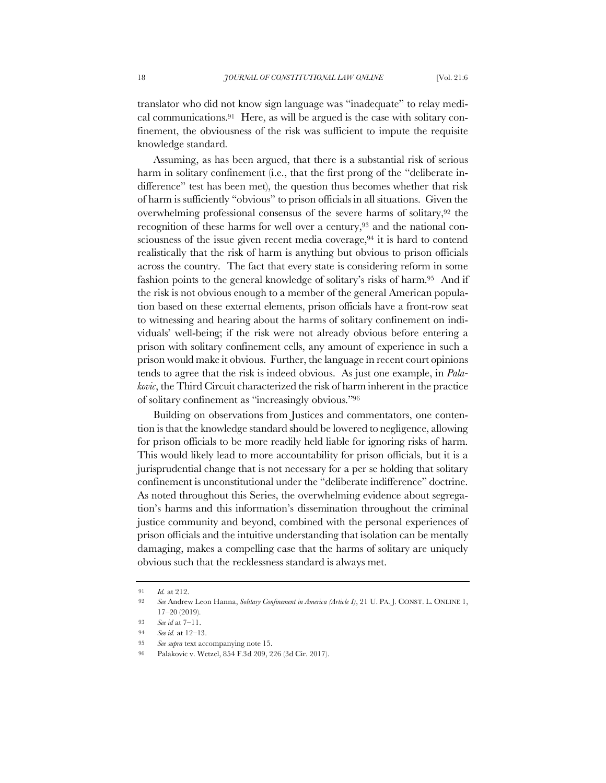translator who did not know sign language was "inadequate" to relay medical communications.91 Here, as will be argued is the case with solitary confinement, the obviousness of the risk was sufficient to impute the requisite knowledge standard.

Assuming, as has been argued, that there is a substantial risk of serious harm in solitary confinement (i.e., that the first prong of the "deliberate indifference" test has been met), the question thus becomes whether that risk of harm is sufficiently "obvious" to prison officials in all situations. Given the overwhelming professional consensus of the severe harms of solitary,92 the recognition of these harms for well over a century,<sup>93</sup> and the national consciousness of the issue given recent media coverage,94 it is hard to contend realistically that the risk of harm is anything but obvious to prison officials across the country. The fact that every state is considering reform in some fashion points to the general knowledge of solitary's risks of harm.95 And if the risk is not obvious enough to a member of the general American population based on these external elements, prison officials have a front-row seat to witnessing and hearing about the harms of solitary confinement on individuals' well-being; if the risk were not already obvious before entering a prison with solitary confinement cells, any amount of experience in such a prison would make it obvious. Further, the language in recent court opinions tends to agree that the risk is indeed obvious. As just one example, in *Palakovic*, the Third Circuit characterized the risk of harm inherent in the practice of solitary confinement as "increasingly obvious."96

Building on observations from Justices and commentators, one contention is that the knowledge standard should be lowered to negligence, allowing for prison officials to be more readily held liable for ignoring risks of harm. This would likely lead to more accountability for prison officials, but it is a jurisprudential change that is not necessary for a per se holding that solitary confinement is unconstitutional under the "deliberate indifference" doctrine. As noted throughout this Series, the overwhelming evidence about segregation's harms and this information's dissemination throughout the criminal justice community and beyond, combined with the personal experiences of prison officials and the intuitive understanding that isolation can be mentally damaging, makes a compelling case that the harms of solitary are uniquely obvious such that the recklessness standard is always met.

<sup>91</sup> *Id.* at 212.

<sup>92</sup> *See* Andrew Leon Hanna, *Solitary Confinement in America (Article I)*, 21 U. PA. J. CONST. L. ONLINE 1, 17–20 (2019).

<sup>93</sup> *See id* at 7–11.

<sup>94</sup> *See id.* at 12–13.

<sup>95</sup> *See supra* text accompanying note 15.

<sup>96</sup> Palakovic v. Wetzel, 854 F.3d 209, 226 (3d Cir. 2017).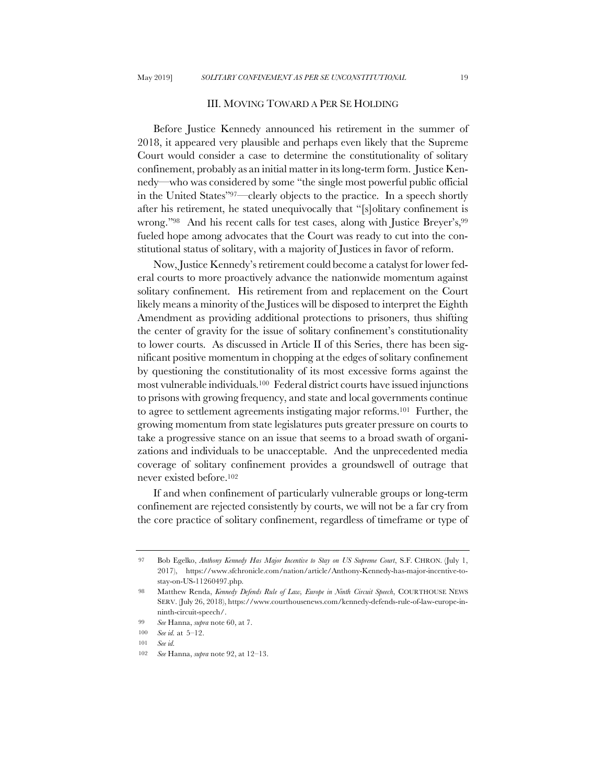### III. MOVING TOWARD A PER SE HOLDING

Before Justice Kennedy announced his retirement in the summer of 2018, it appeared very plausible and perhaps even likely that the Supreme Court would consider a case to determine the constitutionality of solitary confinement, probably as an initial matter in its long-term form. Justice Kennedy—who was considered by some "the single most powerful public official in the United States"97—clearly objects to the practice. In a speech shortly after his retirement, he stated unequivocally that "[s]olitary confinement is wrong."98 And his recent calls for test cases, along with Justice Breyer's,99 fueled hope among advocates that the Court was ready to cut into the constitutional status of solitary, with a majority of Justices in favor of reform.

Now, Justice Kennedy's retirement could become a catalyst for lower federal courts to more proactively advance the nationwide momentum against solitary confinement. His retirement from and replacement on the Court likely means a minority of the Justices will be disposed to interpret the Eighth Amendment as providing additional protections to prisoners, thus shifting the center of gravity for the issue of solitary confinement's constitutionality to lower courts. As discussed in Article II of this Series, there has been significant positive momentum in chopping at the edges of solitary confinement by questioning the constitutionality of its most excessive forms against the most vulnerable individuals.100 Federal district courts have issued injunctions to prisons with growing frequency, and state and local governments continue to agree to settlement agreements instigating major reforms.101 Further, the growing momentum from state legislatures puts greater pressure on courts to take a progressive stance on an issue that seems to a broad swath of organizations and individuals to be unacceptable. And the unprecedented media coverage of solitary confinement provides a groundswell of outrage that never existed before.102

If and when confinement of particularly vulnerable groups or long-term confinement are rejected consistently by courts, we will not be a far cry from the core practice of solitary confinement, regardless of timeframe or type of

100 *See id.* at 5–12.

<sup>97</sup> Bob Egelko, *Anthony Kennedy Has Major Incentive to Stay on US Supreme Court*, S.F. CHRON. (July 1, 2017), https://www.sfchronicle.com/nation/article/Anthony-Kennedy-has-major-incentive-tostay-on-US-11260497.php.

<sup>98</sup> Matthew Renda, *Kennedy Defends Rule of Law, Europe in Ninth Circuit Speech*, COURTHOUSE NEWS SERV. (July 26, 2018), https://www.courthousenews.com/kennedy-defends-rule-of-law-europe-inninth-circuit-speech/.

<sup>99</sup> *See* Hanna, *supra* note 60, at 7.

<sup>101</sup> *See id.*

<sup>102</sup> *See* Hanna, *supra* note 92, at 12–13.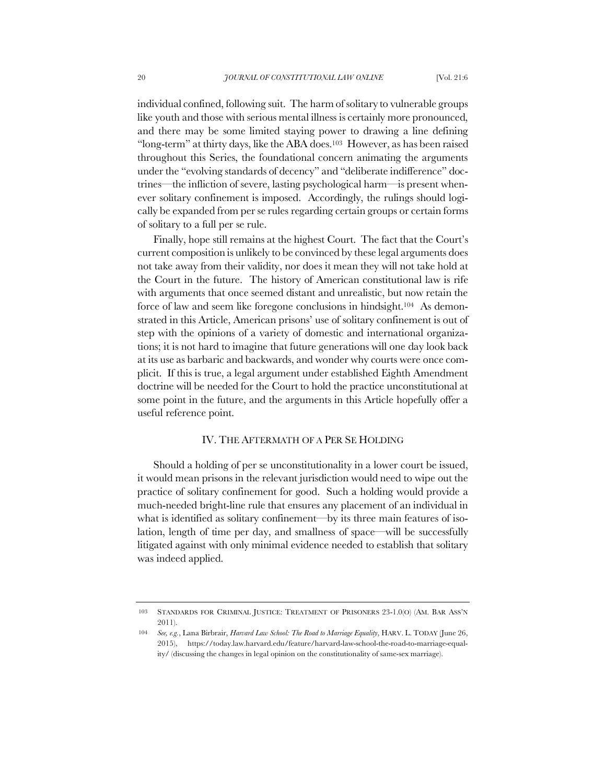individual confined, following suit. The harm of solitary to vulnerable groups like youth and those with serious mental illness is certainly more pronounced, and there may be some limited staying power to drawing a line defining "long-term" at thirty days, like the ABA does.103 However, as has been raised throughout this Series, the foundational concern animating the arguments under the "evolving standards of decency" and "deliberate indifference" doctrines—the infliction of severe, lasting psychological harm—is present whenever solitary confinement is imposed. Accordingly, the rulings should logically be expanded from per se rules regarding certain groups or certain forms of solitary to a full per se rule.

Finally, hope still remains at the highest Court. The fact that the Court's current composition is unlikely to be convinced by these legal arguments does not take away from their validity, nor does it mean they will not take hold at the Court in the future. The history of American constitutional law is rife with arguments that once seemed distant and unrealistic, but now retain the force of law and seem like foregone conclusions in hindsight.104 As demonstrated in this Article, American prisons' use of solitary confinement is out of step with the opinions of a variety of domestic and international organizations; it is not hard to imagine that future generations will one day look back at its use as barbaric and backwards, and wonder why courts were once complicit. If this is true, a legal argument under established Eighth Amendment doctrine will be needed for the Court to hold the practice unconstitutional at some point in the future, and the arguments in this Article hopefully offer a useful reference point.

# IV. THE AFTERMATH OF A PER SE HOLDING

Should a holding of per se unconstitutionality in a lower court be issued, it would mean prisons in the relevant jurisdiction would need to wipe out the practice of solitary confinement for good. Such a holding would provide a much-needed bright-line rule that ensures any placement of an individual in what is identified as solitary confinement—by its three main features of isolation, length of time per day, and smallness of space—will be successfully litigated against with only minimal evidence needed to establish that solitary was indeed applied.

<sup>103</sup> STANDARDS FOR CRIMINAL JUSTICE: TREATMENT OF PRISONERS 23-1.0(O) (AM. BAR ASS'N 2011).

<sup>104</sup> *See, e.g.*, Lana Birbrair, *Harvard Law School: The Road to Marriage Equality*, HARV. L. TODAY (June 26, 2015), https://today.law.harvard.edu/feature/harvard-law-school-the-road-to-marriage-equality/ (discussing the changes in legal opinion on the constitutionality of same-sex marriage).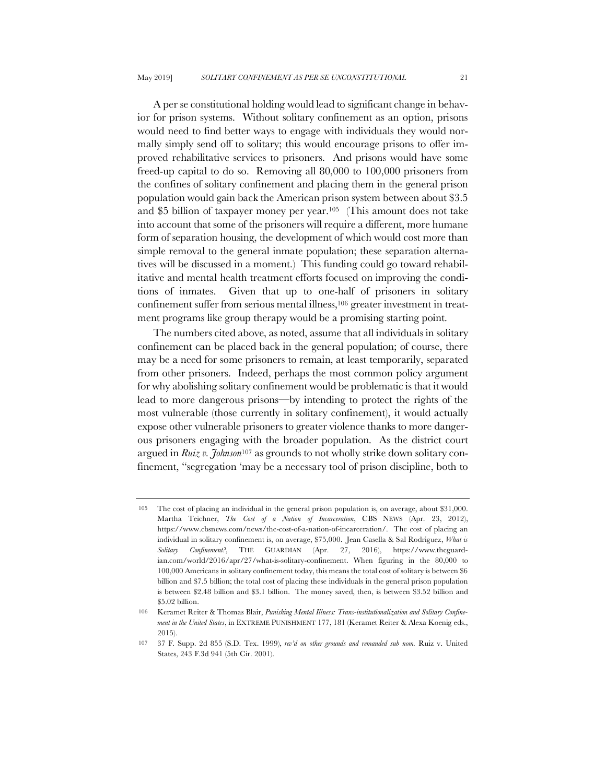A per se constitutional holding would lead to significant change in behavior for prison systems. Without solitary confinement as an option, prisons would need to find better ways to engage with individuals they would normally simply send off to solitary; this would encourage prisons to offer improved rehabilitative services to prisoners. And prisons would have some freed-up capital to do so. Removing all 80,000 to 100,000 prisoners from the confines of solitary confinement and placing them in the general prison population would gain back the American prison system between about \$3.5 and \$5 billion of taxpayer money per year.105 (This amount does not take into account that some of the prisoners will require a different, more humane form of separation housing, the development of which would cost more than simple removal to the general inmate population; these separation alternatives will be discussed in a moment.) This funding could go toward rehabilitative and mental health treatment efforts focused on improving the conditions of inmates. Given that up to one-half of prisoners in solitary confinement suffer from serious mental illness,106 greater investment in treatment programs like group therapy would be a promising starting point.

The numbers cited above, as noted, assume that all individuals in solitary confinement can be placed back in the general population; of course, there may be a need for some prisoners to remain, at least temporarily, separated from other prisoners. Indeed, perhaps the most common policy argument for why abolishing solitary confinement would be problematic is that it would lead to more dangerous prisons—by intending to protect the rights of the most vulnerable (those currently in solitary confinement), it would actually expose other vulnerable prisoners to greater violence thanks to more dangerous prisoners engaging with the broader population. As the district court argued in *Ruiz v. Johnson*<sup>107</sup> as grounds to not wholly strike down solitary confinement, "segregation 'may be a necessary tool of prison discipline, both to

<sup>105</sup> The cost of placing an individual in the general prison population is, on average, about \$31,000. Martha Teichner, *The Cost of a Nation of Incarceration*, CBS NEWS (Apr. 23, 2012), https://www.cbsnews.com/news/the-cost-of-a-nation-of-incarceration/. The cost of placing an individual in solitary confinement is, on average, \$75,000. Jean Casella & Sal Rodriguez, *What is Solitary Confinement?*, THE GUARDIAN (Apr. 27, 2016), https://www.theguardian.com/world/2016/apr/27/what-is-solitary-confinement. When figuring in the 80,000 to 100,000 Americans in solitary confinement today, this means the total cost of solitary is between \$6 billion and \$7.5 billion; the total cost of placing these individuals in the general prison population is between \$2.48 billion and \$3.1 billion. The money saved, then, is between \$3.52 billion and \$5.02 billion.

<sup>106</sup> Keramet Reiter & Thomas Blair, *Punishing Mental Illness: Trans-institutionalization and Solitary Confinement in the United States*, in EXTREME PUNISHMENT 177, 181 (Keramet Reiter & Alexa Koenig eds., 2015).

<sup>107</sup> 37 F. Supp. 2d 855 (S.D. Tex. 1999), *rev'd on other grounds and remanded sub nom.* Ruiz v. United States, 243 F.3d 941 (5th Cir. 2001).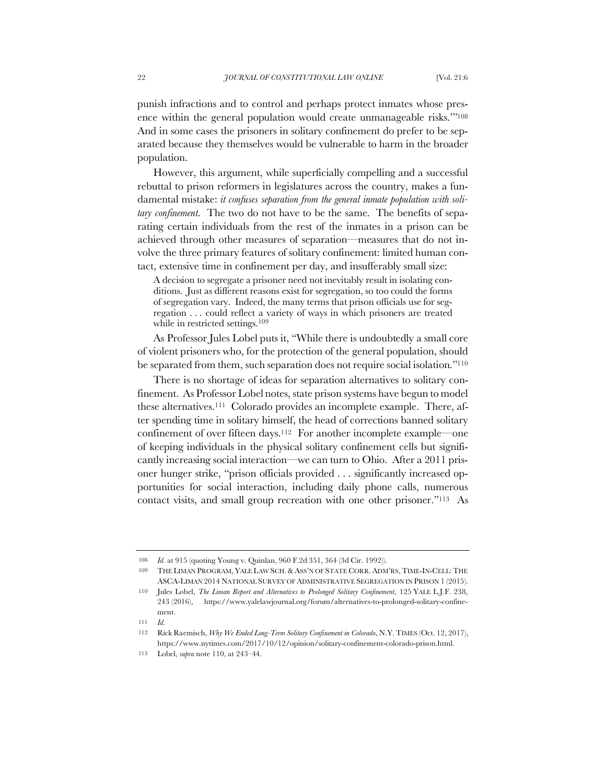punish infractions and to control and perhaps protect inmates whose presence within the general population would create unmanageable risks.'"108 And in some cases the prisoners in solitary confinement do prefer to be separated because they themselves would be vulnerable to harm in the broader population.

However, this argument, while superficially compelling and a successful rebuttal to prison reformers in legislatures across the country, makes a fundamental mistake: *it confuses separation from the general inmate population with solitary confinement*. The two do not have to be the same. The benefits of separating certain individuals from the rest of the inmates in a prison can be achieved through other measures of separation—measures that do not involve the three primary features of solitary confinement: limited human contact, extensive time in confinement per day, and insufferably small size:

A decision to segregate a prisoner need not inevitably result in isolating conditions. Just as different reasons exist for segregation, so too could the forms of segregation vary. Indeed, the many terms that prison officials use for segregation . . . could reflect a variety of ways in which prisoners are treated while in restricted settings.<sup>109</sup>

As Professor Jules Lobel puts it, "While there is undoubtedly a small core of violent prisoners who, for the protection of the general population, should be separated from them, such separation does not require social isolation."110

There is no shortage of ideas for separation alternatives to solitary confinement. As Professor Lobel notes, state prison systems have begun to model these alternatives.111 Colorado provides an incomplete example. There, after spending time in solitary himself, the head of corrections banned solitary confinement of over fifteen days.<sup>112</sup> For another incomplete example—one of keeping individuals in the physical solitary confinement cells but significantly increasing social interaction—we can turn to Ohio. After a 2011 prisoner hunger strike, "prison officials provided . . . significantly increased opportunities for social interaction, including daily phone calls, numerous contact visits, and small group recreation with one other prisoner."113 As

111 *Id.*

<sup>108</sup> *Id.* at 915 (quoting Young v. Quinlan, 960 F.2d 351, 364 (3d Cir. 1992)).

<sup>109</sup> THE LIMAN PROGRAM, YALE LAW SCH.& ASS'N OF STATE CORR. ADM'RS,TIME-IN-CELL:THE ASCA-LIMAN 2014 NATIONAL SURVEY OF ADMINISTRATIVE SEGREGATION IN PRISON 1 (2015).

<sup>110</sup> Jules Lobel, *The Liman Report and Alternatives to Prolonged Solitary Confinement*, 125 YALE L.J.F. 238, 243 (2016), https://www.yalelawjournal.org/forum/alternatives-to-prolonged-solitary-confinement.

<sup>112</sup> Rick Raemisch, *Why We Ended Long-Term Solitary Confinement in Colorado*, N.Y. TIMES (Oct. 12, 2017), https://www.nytimes.com/2017/10/12/opinion/solitary-confinement-colorado-prison.html.

<sup>113</sup> Lobel, *supra* note 110, at 243–44.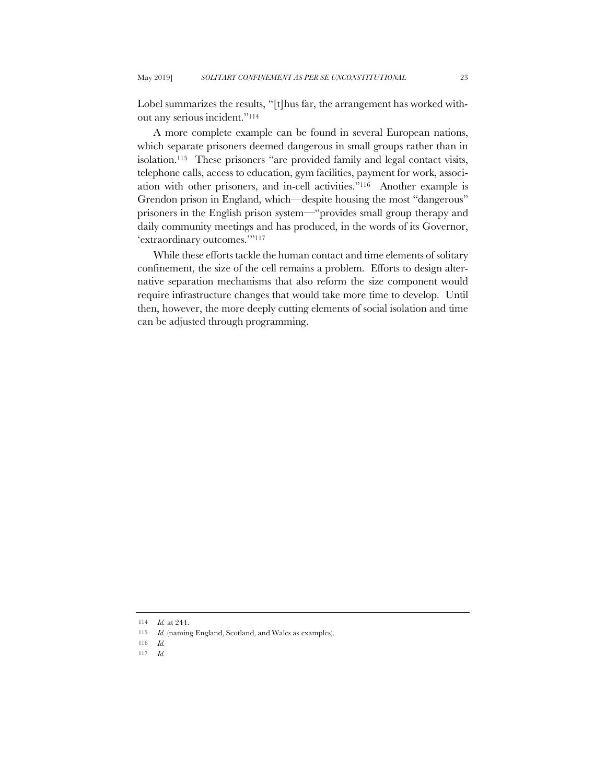Lobel summarizes the results, "[t]hus far, the arrangement has worked without any serious incident."114

A more complete example can be found in several European nations, which separate prisoners deemed dangerous in small groups rather than in isolation.115 These prisoners "are provided family and legal contact visits, telephone calls, access to education, gym facilities, payment for work, association with other prisoners, and in-cell activities."116 Another example is Grendon prison in England, which—despite housing the most "dangerous" prisoners in the English prison system—"provides small group therapy and daily community meetings and has produced, in the words of its Governor, 'extraordinary outcomes.'"117

While these efforts tackle the human contact and time elements of solitary confinement, the size of the cell remains a problem. Efforts to design alternative separation mechanisms that also reform the size component would require infrastructure changes that would take more time to develop. Until then, however, the more deeply cutting elements of social isolation and time can be adjusted through programming.

117 *Id.*

<sup>114</sup> *Id.* at 244.

<sup>115</sup> *Id.* (naming England, Scotland, and Wales as examples).

<sup>116</sup> *Id.*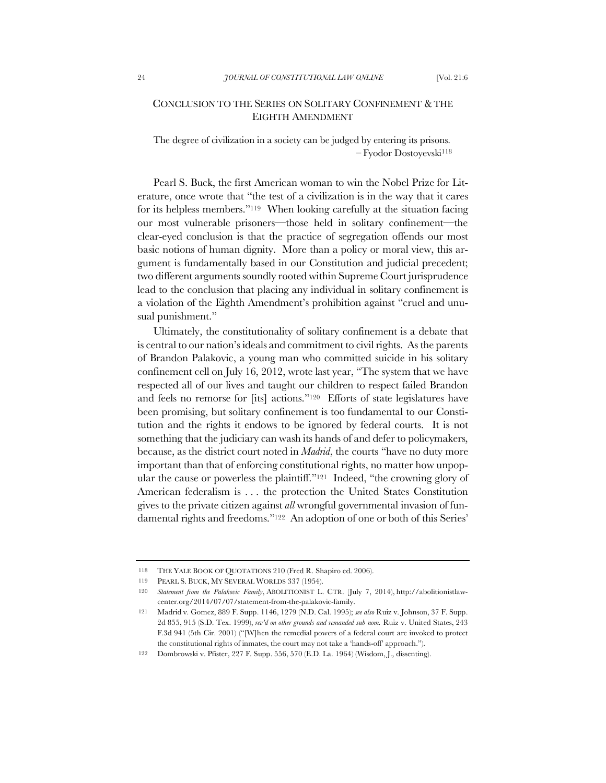# CONCLUSION TO THE SERIES ON SOLITARY CONFINEMENT &THE EIGHTH AMENDMENT

The degree of civilization in a society can be judged by entering its prisons. – Fyodor Dostoyevski118

Pearl S. Buck, the first American woman to win the Nobel Prize for Literature, once wrote that "the test of a civilization is in the way that it cares for its helpless members."119 When looking carefully at the situation facing our most vulnerable prisoners—those held in solitary confinement—the clear-eyed conclusion is that the practice of segregation offends our most basic notions of human dignity. More than a policy or moral view, this argument is fundamentally based in our Constitution and judicial precedent; two different arguments soundly rooted within Supreme Court jurisprudence lead to the conclusion that placing any individual in solitary confinement is a violation of the Eighth Amendment's prohibition against "cruel and unusual punishment."

Ultimately, the constitutionality of solitary confinement is a debate that is central to our nation's ideals and commitment to civil rights. As the parents of Brandon Palakovic, a young man who committed suicide in his solitary confinement cell on July 16, 2012, wrote last year, "The system that we have respected all of our lives and taught our children to respect failed Brandon and feels no remorse for [its] actions."120 Efforts of state legislatures have been promising, but solitary confinement is too fundamental to our Constitution and the rights it endows to be ignored by federal courts. It is not something that the judiciary can wash its hands of and defer to policymakers, because, as the district court noted in *Madrid*, the courts "have no duty more important than that of enforcing constitutional rights, no matter how unpopular the cause or powerless the plaintiff."121 Indeed, "the crowning glory of American federalism is . . . the protection the United States Constitution gives to the private citizen against *all* wrongful governmental invasion of fundamental rights and freedoms."122 An adoption of one or both of this Series'

<sup>118</sup> THE YALE BOOK OF QUOTATIONS 210 (Fred R. Shapiro ed. 2006).

<sup>119</sup> PEARL S. BUCK, MY SEVERAL WORLDS 337 (1954).

<sup>120</sup> *Statement from the Palakovic Family*, ABOLITIONIST L. CTR. (July 7, 2014), http://abolitionistlawcenter.org/2014/07/07/statement-from-the-palakovic-family.

<sup>121</sup> Madrid v. Gomez, 889 F. Supp. 1146, 1279 (N.D. Cal. 1995); *see also* Ruiz v. Johnson, 37 F. Supp. 2d 855, 915 (S.D. Tex. 1999), *rev'd on other grounds and remanded sub nom.* Ruiz v. United States, 243 F.3d 941 (5th Cir. 2001) ("[W]hen the remedial powers of a federal court are invoked to protect the constitutional rights of inmates, the court may not take a 'hands-off' approach.").

<sup>122</sup> Dombrowski v. Pfister, 227 F. Supp. 556, 570 (E.D. La. 1964) (Wisdom, J., dissenting).